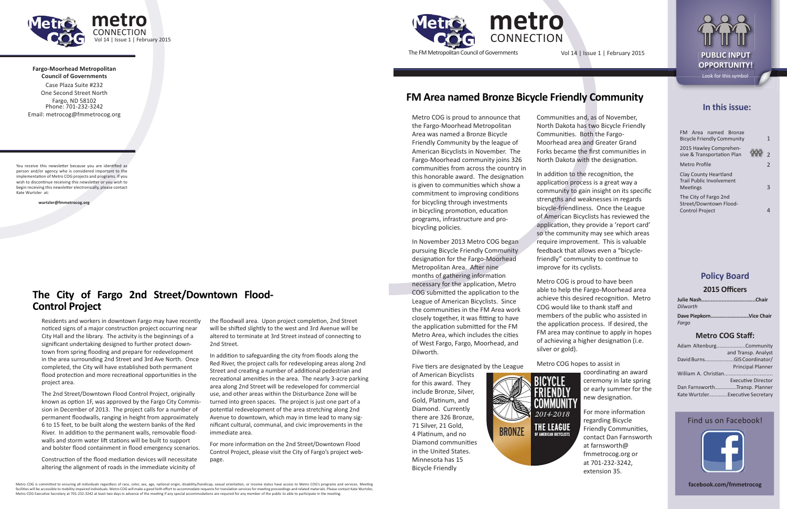**Fargo-Moorhead Metropolitan Council of Governments**



Case Plaza Suite #232 One Second Street NorthFargo, ND 58102 Phone: 701-232-3242 Email: metrocog@fmmetrocog.org

You receive this newsletter because you are identified as person and/or agency who is considered important to the implementation of Metro COG projects and programs. If you wish to discontinue receiving this newsletter or you wish to begin receiving this newsletter electronically, please contact Kate Wurtzler at:

 **wurtzler@fmmetrocog.org**

**metroCONNECTION** The FM Metropolitan Council of Governments

### **In this issue:**

| FM Area named Bronze<br><b>Bicycle Friendly Community</b>                   | 1 |
|-----------------------------------------------------------------------------|---|
| 2015 Hawley Comprehen-<br>sive & Transportation Plan                        | C |
| Metro Profile                                                               | 2 |
| Clay County Heartland<br><b>Trail Public Involvement</b><br><b>Meetings</b> | ٦ |
| The City of Fargo 2nd<br>Street/Downtown Flood-<br><b>Control Project</b>   |   |

#### **Policy Board**

#### **2015 Offi cers**

| Dilworth                |
|-------------------------|
| Dave PiepkornVice Chair |
| Farao                   |

#### **Metro COG Staff :**

|                                  | Adam AltenburgCommunity       |  |
|----------------------------------|-------------------------------|--|
|                                  | and Transp. Analyst           |  |
|                                  | David BurnsGIS Coordinator/   |  |
|                                  | <b>Principal Planner</b>      |  |
| William A. Christian             |                               |  |
|                                  | <b>Executive Director</b>     |  |
|                                  | Dan FarnsworthTransp. Planner |  |
| Kate WurtzlerExecutive Secretary |                               |  |

#### Find us on Facebook!



**facebook.com/fmmetrocog**

In addition to the recognition, the application process is a great way a community to gain insight on its specific strengths and weaknesses in regards bicycle-friendliness. Once the League of American Bicyclists has reviewed the application, they provide a 'report card' so the community may see which areas require improvement. This is valuable feedback that allows even a "bicyclefriendly" community to continue to improve for its cyclists.

Communities and, as of November, North Dakota has two Bicycle Friendly Communities. Both the Fargo-Moorhead area and Greater Grand Forks became the first communities in North Dakota with the designation.



coordinating an award ceremony in late spring or early summer for the new designation.



For more information regarding Bicycle Friendly Communities. contact Dan Farnsworth at farnsworth@ fmmetrocog.org or at 701-232-3242, extension 35.

Metro COG is proud to announce that the Fargo-Moorhead Metropolitan Area was named a Bronze Bicycle Friendly Community by the league of American Bicyclists in November. The Fargo-Moorhead community joins 326 communities from across the country in this honorable award. The designation is given to communities which show a commitment to improving conditions for bicycling through investments in bicycling promotion, education programs, infrastructure and probicycling policies.

The 2nd Street/Downtown Flood Control Project, originally known as option 1F, was approved by the Fargo City Commission in December of 2013. The project calls for a number of permanent floodwalls, ranging in height from approximately 6 to 15 feet, to be built along the western banks of the Red River. In addition to the permanent walls, removable floodwalls and storm water lift stations will be built to support and bolster flood containment in flood emergency scenarios.

In November 2013 Metro COG began pursuing Bicycle Friendly Community designation for the Fargo-Moorhead Metropolitan Area. After nine months of gathering information necessary for the application, Metro COG submitted the application to the League of American Bicyclists. Since the communities in the FM Area work closely together, it was fitting to have the application submitted for the FM Metro Area, which includes the cities of West Fargo, Fargo, Moorhead, and Dilworth.

Five tiers are designated by the League

Construction of the flood mediation devices will necessitate altering the alignment of roads in the immediate vicinity of

the floodwall area. Upon project completion, 2nd Street will be shifted slightly to the west and 3rd Avenue will be altered to terminate at 3rd Street instead of connecting to 2nd Street.

> of American Bicyclists for this award. They include Bronze, Silver, Gold, Platinum, and Diamond. Currently there are 326 Bronze, 71 Silver, 21 Gold, 4 Platinum, and no Diamond communities in the United States. Minnesota has 15 Bicycle Friendly

In addition to safeguarding the city from floods along the Red River, the project calls for redeveloping areas along 2nd Street and creating a number of additional pedestrian and recreational amenities in the area. The nearly 3-acre parking area along 2nd Street will be redeveloped for commercial use, and other areas within the Disturbance Zone will be turned into green spaces. The project is just one part of a potential redevelopment of the area stretching along 2nd Avenue to downtown, which may in time lead to many significant cultural, communal, and civic improvements in the immediate area.

For more information on the 2nd Street/Downtown Flood Control Project, please visit the City of Fargo's project webpage.

Metro COG is proud to have been able to help the Fargo-Moorhead area achieve this desired recognition. Metro COG would like to thank staff and members of the public who assisted in the application process. If desired, the FM area may continue to apply in hopes of achieving a higher designation (i.e. silver or gold).

Metro COG hopes to assist in



Metro COG is committed to ensuring all individuals regardless of race, color, sex, age, national origin, disability/handicap, sexual orientation, or income status have access to Metro COG's programs and services. Meeting facilities will be accessible to mobility impaired individuals. Metro COG will make a good faith effort to accommodate requests for translation services for meeting proceedings and related materials. Please contact Kate Wu Metro COG Executive Secretary at 701-232-3242 at least two days in advance of the meeting if any special accommodations are required for any member of the public to able to participate in the meeting.

## **FM Area named Bronze Bicycle Friendly Community**

Residents and workers in downtown Fargo may have recently noticed signs of a major construction project occurring near City Hall and the library. The activity is the beginnings of a significant undertaking designed to further protect downtown from spring flooding and prepare for redevelopment in the area surrounding 2nd Street and 3rd Ave North. Once completed, the City will have established both permanent flood protection and more recreational opportunities in the project area.

### **The City of Fargo 2nd Street/Downtown Flood-Control Project**